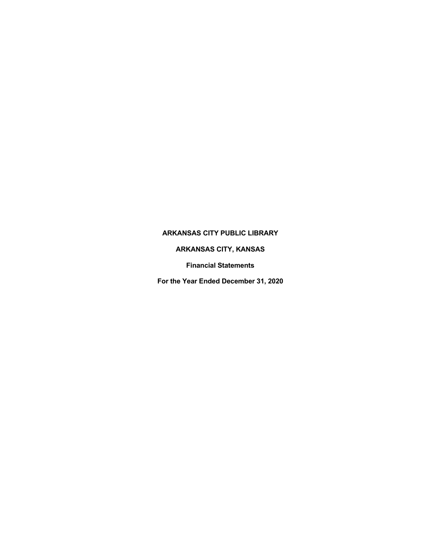## **ARKANSAS CITY PUBLIC LIBRARY**

## **ARKANSAS CITY, KANSAS**

**Financial Statements**

**For the Year Ended December 31, 2020**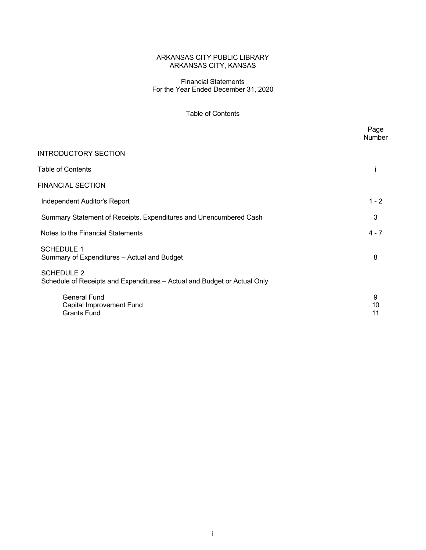## Financial Statements For the Year Ended December 31, 2020

## Table of Contents

|                                                                                               | Page<br>Number |
|-----------------------------------------------------------------------------------------------|----------------|
| <b>INTRODUCTORY SECTION</b>                                                                   |                |
| <b>Table of Contents</b>                                                                      |                |
| <b>FINANCIAL SECTION</b>                                                                      |                |
| Independent Auditor's Report                                                                  | $1 - 2$        |
| Summary Statement of Receipts, Expenditures and Unencumbered Cash                             | 3              |
| Notes to the Financial Statements                                                             | $4 - 7$        |
| <b>SCHEDULE 1</b><br>Summary of Expenditures - Actual and Budget                              | 8              |
| <b>SCHEDULE 2</b><br>Schedule of Receipts and Expenditures - Actual and Budget or Actual Only |                |
| <b>General Fund</b><br>Capital Improvement Fund<br><b>Grants Fund</b>                         | 9<br>10<br>11  |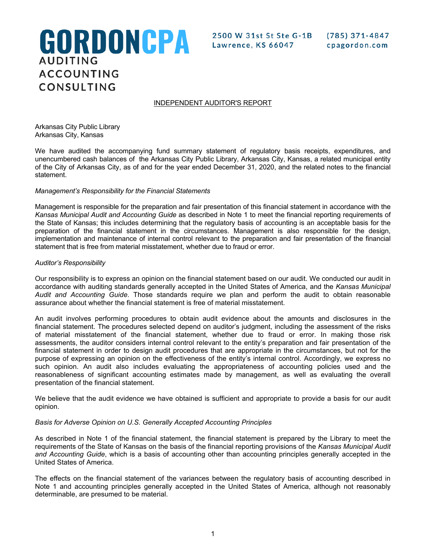# GORDONCPA **AUDITING ACCOUNTING CONSULTING**

2500 W 31st St Ste G-1B (785) 371-4847 Lawrence, KS 66047

## INDEPENDENT AUDITOR'S REPORT

Arkansas City Public Library Arkansas City, Kansas

We have audited the accompanying fund summary statement of regulatory basis receipts, expenditures, and unencumbered cash balances of the Arkansas City Public Library, Arkansas City, Kansas, a related municipal entity of the City of Arkansas City, as of and for the year ended December 31, 2020, and the related notes to the financial statement.

## *Management's Responsibility for the Financial Statements*

Management is responsible for the preparation and fair presentation of this financial statement in accordance with the *Kansas Municipal Audit and Accounting Guide* as described in Note 1 to meet the financial reporting requirements of the State of Kansas; this includes determining that the regulatory basis of accounting is an acceptable basis for the preparation of the financial statement in the circumstances. Management is also responsible for the design, implementation and maintenance of internal control relevant to the preparation and fair presentation of the financial statement that is free from material misstatement, whether due to fraud or error.

#### *Auditor's Responsibility*

Our responsibility is to express an opinion on the financial statement based on our audit. We conducted our audit in accordance with auditing standards generally accepted in the United States of America, and the *Kansas Municipal Audit and Accounting Guide*. Those standards require we plan and perform the audit to obtain reasonable assurance about whether the financial statement is free of material misstatement.

An audit involves performing procedures to obtain audit evidence about the amounts and disclosures in the financial statement. The procedures selected depend on auditor's judgment, including the assessment of the risks of material misstatement of the financial statement, whether due to fraud or error. In making those risk assessments, the auditor considers internal control relevant to the entity's preparation and fair presentation of the financial statement in order to design audit procedures that are appropriate in the circumstances, but not for the purpose of expressing an opinion on the effectiveness of the entity's internal control. Accordingly, we express no such opinion. An audit also includes evaluating the appropriateness of accounting policies used and the reasonableness of significant accounting estimates made by management, as well as evaluating the overall presentation of the financial statement.

We believe that the audit evidence we have obtained is sufficient and appropriate to provide a basis for our audit opinion.

## *Basis for Adverse Opinion on U.S. Generally Accepted Accounting Principles*

As described in Note 1 of the financial statement, the financial statement is prepared by the Library to meet the requirements of the State of Kansas on the basis of the financial reporting provisions of the *Kansas Municipal Audit and Accounting Guide*, which is a basis of accounting other than accounting principles generally accepted in the United States of America.

The effects on the financial statement of the variances between the regulatory basis of accounting described in Note 1 and accounting principles generally accepted in the United States of America, although not reasonably determinable, are presumed to be material.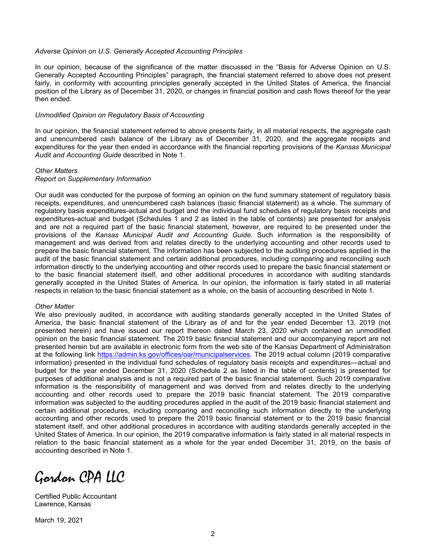#### *Adverse Opinion on U.S. Generally Accepted Accounting Principles*

In our opinion, because of the significance of the matter discussed in the "Basis for Adverse Opinion on U.S. Generally Accepted Accounting Principles" paragraph, the financial statement referred to above does not present fairly, in conformity with accounting principles generally accepted in the United States of America, the financial position of the Library as of December 31, 2020, or changes in financial position and cash flows thereof for the year then ended.

#### *Unmodified Opinion on Regulatory Basis of Accounting*

In our opinion, the financial statement referred to above presents fairly, in all material respects, the aggregate cash and unencumbered cash balance of the Library as of December 31, 2020, and the aggregate receipts and expenditures for the year then ended in accordance with the financial reporting provisions of the *Kansas Municipal Audit and Accounting Guide* described in Note 1.

#### *Other Matters*

#### *Report on Supplementary Information*

Our audit was conducted for the purpose of forming an opinion on the fund summary statement of regulatory basis receipts, expenditures, and unencumbered cash balances (basic financial statement) as a whole. The summary of regulatory basis expenditures-actual and budget and the individual fund schedules of regulatory basis receipts and expenditures-actual and budget (Schedules 1 and 2 as listed in the table of contents) are presented for analysis and are not a required part of the basic financial statement, however, are required to be presented under the provisions of the *Kansas Municipal Audit and Accounting Guide*. Such information is the responsibility of management and was derived from and relates directly to the underlying accounting and other records used to prepare the basic financial statement. The information has been subjected to the auditing procedures applied in the audit of the basic financial statement and certain additional procedures, including comparing and reconciling such information directly to the underlying accounting and other records used to prepare the basic financial statement or to the basic financial statement itself, and other additional procedures in accordance with auditing standards generally accepted in the United States of America. In our opinion, the information is fairly stated in all material respects in relation to the basic financial statement as a whole, on the basis of accounting described in Note 1.

#### *Other Matter*

We also previously audited, in accordance with auditing standards generally accepted in the United States of America, the basic financial statement of the Library as of and for the year ended December 13, 2019 (not presented herein) and have issued our report thereon dated March 23, 2020 which contained an unmodified opinion on the basic financial statement. The 2019 basic financial statement and our accompanying report are not presented herein but are available in electronic form from the web site of the Kansas Department of Administration at the following link https://admin.ks.gov/offices/oar/municipalservices. The 2019 actual column (2019 comparative information) presented in the individual fund schedules of regulatory basis receipts and expenditures—actual and budget for the year ended December 31, 2020 (Schedule 2 as listed in the table of contents) is presented for purposes of additional analysis and is not a required part of the basic financial statement. Such 2019 comparative information is the responsibility of management and was derived from and relates directly to the underlying accounting and other records used to prepare the 2019 basic financial statement. The 2019 comparative information was subjected to the auditing procedures applied in the audit of the 2019 basic financial statement and certain additional procedures, including comparing and reconciling such information directly to the underlying accounting and other records used to prepare the 2019 basic financial statement or to the 2019 basic financial statement itself, and other additional procedures in accordance with auditing standards generally accepted in the United States of America. In our opinion, the 2019 comparative information is fairly stated in all material respects in relation to the basic financial statement as a whole for the year ended December 31, 2019, on the basis of accounting described in Note 1.

Gordon CPA LLC

Certified Public Accountant Lawrence, Kansas

March 19, 2021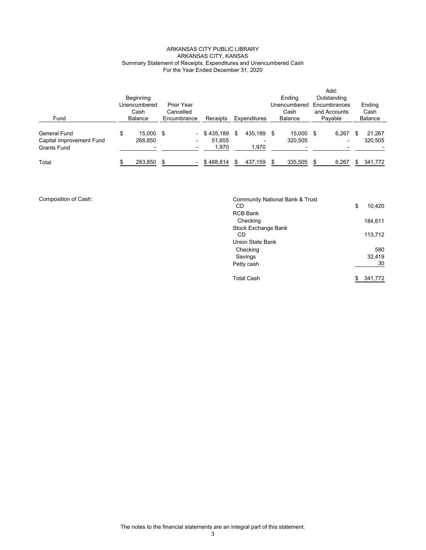#### ARKANSAS CITY, KANSAS ARKANSAS CITY PUBLIC LIBRARY Summary Statement of Receipts, Expenditures and Unencumbered Cash For the Year Ended December 31, 2020

|                          |                 |             |               |     |                     |      |                |      | Add:         |   |                |
|--------------------------|-----------------|-------------|---------------|-----|---------------------|------|----------------|------|--------------|---|----------------|
|                          | Beginning       |             |               |     |                     |      | Endina         |      | Outstanding  |   |                |
|                          | Unencumbered    | Prior Year  |               |     |                     |      | Unencumbered   |      | Encumbrances |   | Ending         |
|                          | Cash            | Cancelled   |               |     |                     |      | Cash           |      | and Accounts |   | Cash           |
| Fund                     | <b>Balance</b>  | Encumbrance | Receipts      |     | <b>Expenditures</b> |      | <b>Balance</b> |      | Pavable      |   | <b>Balance</b> |
|                          |                 |             |               |     |                     |      |                |      |              |   |                |
| General Fund             | \$<br>15,000 \$ |             | $-$ \$435,189 | -SS | 435.189             | - \$ | 15.000         | - \$ | 6,267        | S | 21.267         |
| Capital Improvement Fund | 268,850         | ۰           | 51.655        |     |                     |      | 320,505        |      |              |   | 320,505        |
| Grants Fund              |                 |             | 1,970         |     | 1,970               |      |                |      |              |   |                |
| Total                    | 283,850         |             | $-$ \$488.814 |     | 437.159             |      | 335.505        | S    | 6.267        |   | 341.772        |

Composition of Cash:

| <b>Community National Bank &amp; Trust</b> |              |
|--------------------------------------------|--------------|
| CD                                         | \$<br>10.420 |
| <b>RCB Bank</b>                            |              |
| Checking                                   | 184,611      |
| Stock Exchange Bank                        |              |
| CD                                         | 113,712      |
| Union State Bank                           |              |
| Checking                                   | 580          |
| Savings                                    | 32,419       |
| Petty cash                                 | 30           |
|                                            |              |
| <b>Total Cash</b>                          | 341,772      |
|                                            |              |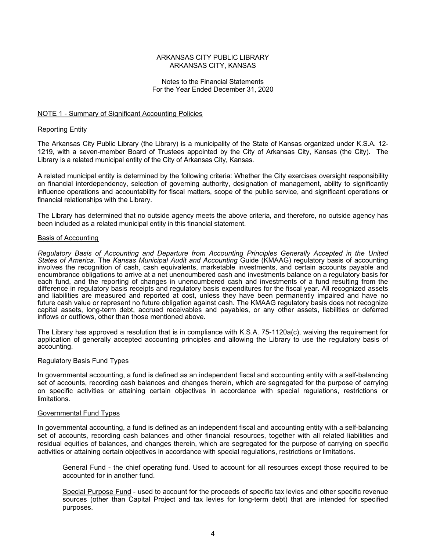### Notes to the Financial Statements For the Year Ended December 31, 2020

#### NOTE 1 - Summary of Significant Accounting Policies

#### Reporting Entity

The Arkansas City Public Library (the Library) is a municipality of the State of Kansas organized under K.S.A. 12- 1219, with a seven-member Board of Trustees appointed by the City of Arkansas City, Kansas (the City). The Library is a related municipal entity of the City of Arkansas City, Kansas.

A related municipal entity is determined by the following criteria: Whether the City exercises oversight responsibility on financial interdependency, selection of governing authority, designation of management, ability to significantly influence operations and accountability for fiscal matters, scope of the public service, and significant operations or financial relationships with the Library.

The Library has determined that no outside agency meets the above criteria, and therefore, no outside agency has been included as a related municipal entity in this financial statement.

#### Basis of Accounting

*Regulatory Basis of Accounting and Departure from Accounting Principles Generally Accepted in the United States of America*. The *Kansas Municipal Audit and Accounting* Guide (KMAAG) regulatory basis of accounting involves the recognition of cash, cash equivalents, marketable investments, and certain accounts payable and encumbrance obligations to arrive at a net unencumbered cash and investments balance on a regulatory basis for each fund, and the reporting of changes in unencumbered cash and investments of a fund resulting from the difference in regulatory basis receipts and regulatory basis expenditures for the fiscal year. All recognized assets and liabilities are measured and reported at cost, unless they have been permanently impaired and have no future cash value or represent no future obligation against cash. The KMAAG regulatory basis does not recognize capital assets, long-term debt, accrued receivables and payables, or any other assets, liabilities or deferred inflows or outflows, other than those mentioned above.

The Library has approved a resolution that is in compliance with K.S.A. 75-1120a(c), waiving the requirement for application of generally accepted accounting principles and allowing the Library to use the regulatory basis of accounting.

#### Regulatory Basis Fund Types

In governmental accounting, a fund is defined as an independent fiscal and accounting entity with a self-balancing set of accounts, recording cash balances and changes therein, which are segregated for the purpose of carrying on specific activities or attaining certain objectives in accordance with special regulations, restrictions or limitations.

#### Governmental Fund Types

In governmental accounting, a fund is defined as an independent fiscal and accounting entity with a self-balancing set of accounts, recording cash balances and other financial resources, together with all related liabilities and residual equities of balances, and changes therein, which are segregated for the purpose of carrying on specific activities or attaining certain objectives in accordance with special regulations, restrictions or limitations.

General Fund - the chief operating fund. Used to account for all resources except those required to be accounted for in another fund.

Special Purpose Fund - used to account for the proceeds of specific tax levies and other specific revenue sources (other than Capital Project and tax levies for long-term debt) that are intended for specified purposes.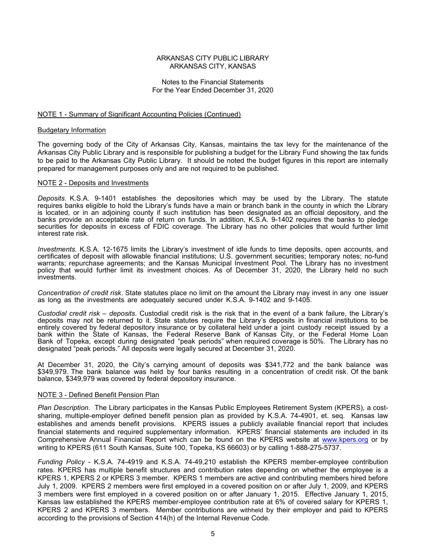#### Notes to the Financial Statements For the Year Ended December 31, 2020

#### NOTE 1 - Summary of Significant Accounting Policies (Continued)

#### Budgetary Information

The governing body of the City of Arkansas City, Kansas, maintains the tax levy for the maintenance of the Arkansas City Public Library and is responsible for publishing a budget for the Library Fund showing the tax funds to be paid to the Arkansas City Public Library. It should be noted the budget figures in this report are internally prepared for management purposes only and are not required to be published.

#### NOTE 2 - Deposits and Investments

*Deposits.* K.S.A. 9-1401 establishes the depositories which may be used by the Library. The statute requires banks eligible to hold the Library's funds have a main or branch bank in the county in which the Library is located, or in an adjoining county if such institution has been designated as an official depository, and the banks provide an acceptable rate of return on funds. In addition, K.S.A. 9-1402 requires the banks to pledge securities for deposits in excess of FDIC coverage. The Library has no other policies that would further limit interest rate risk.

*Investments.* K.S.A. 12-1675 limits the Library's investment of idle funds to time deposits, open accounts, and certificates of deposit with allowable financial institutions; U.S. government securities; temporary notes; no-fund warrants; repurchase agreements; and the Kansas Municipal Investment Pool. The Library has no investment policy that would further limit its investment choices. As of December 31, 2020, the Library held no such investments.

*Concentration of credit risk*. State statutes place no limit on the amount the Library may invest in any one issuer as long as the investments are adequately secured under K.S.A. 9-1402 and 9-1405.

*Custodial credit risk – deposits*. Custodial credit risk is the risk that in the event of a bank failure, the Library's deposits may not be returned to it. State statutes require the Library's deposits in financial institutions to be entirely covered by federal depository insurance or by collateral held under a joint custody receipt issued by a bank within the State of Kansas, the Federal Reserve Bank of Kansas City, or the Federal Home Loan Bank of Topeka, except during designated "peak periods" when required coverage is 50%. The Library has no designated "peak periods." All deposits were legally secured at December 31, 2020.

At December 31, 2020, the City's carrying amount of deposits was \$341,772 and the bank balance was \$349,979. The bank balance was held by four banks resulting in a concentration of credit risk. Of the bank balance, \$349,979 was covered by federal depository insurance.

#### NOTE 3 - Defined Benefit Pension Plan

*Plan Description.* The Library participates in the Kansas Public Employees Retirement System (KPERS), a costsharing, multiple-employer defined benefit pension plan as provided by K.S.A. 74-4901, et. seq. Kansas law establishes and amends benefit provisions. KPERS issues a publicly available financial report that includes financial statements and required supplementary information. KPERS' financial statements are included in its Comprehensive Annual Financial Report which can be found on the KPERS website at www.kpers.org or by writing to KPERS (611 South Kansas, Suite 100, Topeka, KS 66603) or by calling 1-888-275-5737.

*Funding Policy* - K.S.A. 74-4919 and K.S.A. 74-49,210 establish the KPERS member-employee contribution rates. KPERS has multiple benefit structures and contribution rates depending on whether the employee is a KPERS 1, KPERS 2 or KPERS 3 member. KPERS 1 members are active and contributing members hired before July 1, 2009. KPERS 2 members were first employed in a covered position on or after July 1, 2009, and KPERS 3 members were first employed in a covered position on or after January 1, 2015. Effective January 1, 2015, Kansas law established the KPERS member-employee contribution rate at 6% of covered salary for KPERS 1, KPERS 2 and KPERS 3 members. Member contributions are withheld by their employer and paid to KPERS according to the provisions of Section 414(h) of the Internal Revenue Code.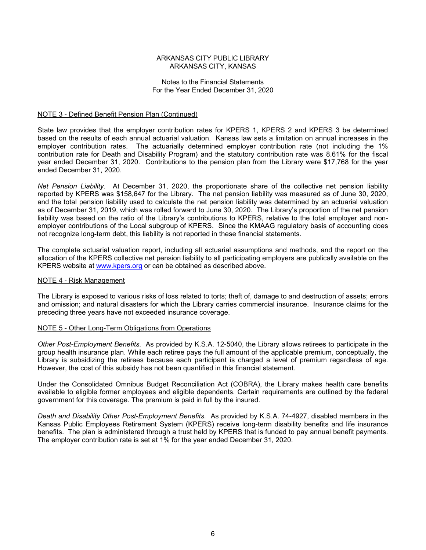#### Notes to the Financial Statements For the Year Ended December 31, 2020

#### NOTE 3 - Defined Benefit Pension Plan (Continued)

State law provides that the employer contribution rates for KPERS 1, KPERS 2 and KPERS 3 be determined based on the results of each annual actuarial valuation. Kansas law sets a limitation on annual increases in the employer contribution rates. The actuarially determined employer contribution rate (not including the 1% contribution rate for Death and Disability Program) and the statutory contribution rate was 8.61% for the fiscal year ended December 31, 2020. Contributions to the pension plan from the Library were \$17,768 for the year ended December 31, 2020.

*Net Pension Liability*. At December 31, 2020, the proportionate share of the collective net pension liability reported by KPERS was \$158,647 for the Library. The net pension liability was measured as of June 30, 2020, and the total pension liability used to calculate the net pension liability was determined by an actuarial valuation as of December 31, 2019, which was rolled forward to June 30, 2020. The Library's proportion of the net pension liability was based on the ratio of the Library's contributions to KPERS, relative to the total employer and nonemployer contributions of the Local subgroup of KPERS. Since the KMAAG regulatory basis of accounting does not recognize long-term debt, this liability is not reported in these financial statements.

The complete actuarial valuation report, including all actuarial assumptions and methods, and the report on the allocation of the KPERS collective net pension liability to all participating employers are publically available on the KPERS website at www.kpers.org or can be obtained as described above.

#### NOTE 4 - Risk Management

The Library is exposed to various risks of loss related to torts; theft of, damage to and destruction of assets; errors and omission; and natural disasters for which the Library carries commercial insurance. Insurance claims for the preceding three years have not exceeded insurance coverage.

#### NOTE 5 - Other Long-Term Obligations from Operations

*Other Post-Employment Benefits.* As provided by K.S.A. 12-5040, the Library allows retirees to participate in the group health insurance plan. While each retiree pays the full amount of the applicable premium, conceptually, the Library is subsidizing the retirees because each participant is charged a level of premium regardless of age. However, the cost of this subsidy has not been quantified in this financial statement.

Under the Consolidated Omnibus Budget Reconciliation Act (COBRA), the Library makes health care benefits available to eligible former employees and eligible dependents. Certain requirements are outlined by the federal government for this coverage. The premium is paid in full by the insured.

*Death and Disability Other Post-Employment Benefits.* As provided by K.S.A. 74-4927, disabled members in the Kansas Public Employees Retirement System (KPERS) receive long-term disability benefits and life insurance benefits. The plan is administered through a trust held by KPERS that is funded to pay annual benefit payments. The employer contribution rate is set at 1% for the year ended December 31, 2020.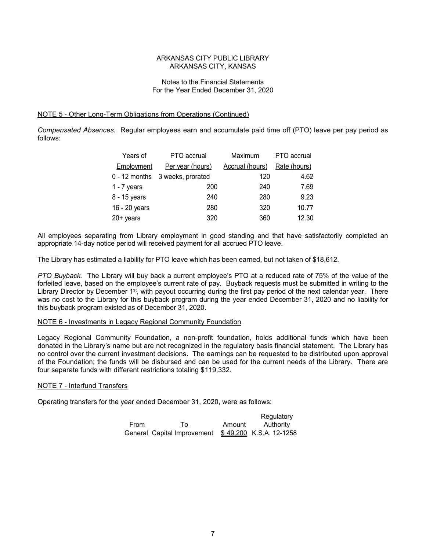#### Notes to the Financial Statements For the Year Ended December 31, 2020

#### NOTE 5 - Other Long-Term Obligations from Operations (Continued)

*Compensated Absences.* Regular employees earn and accumulate paid time off (PTO) leave per pay period as follows:

| Years of        | PTO accrual       | <b>Maximum</b>  | PTO accrual  |  |  |  |
|-----------------|-------------------|-----------------|--------------|--|--|--|
| Employment      | Per year (hours)  | Accrual (hours) | Rate (hours) |  |  |  |
| $0 - 12$ months | 3 weeks, prorated | 120             | 4.62         |  |  |  |
| 1 - $7$ years   | 200               | 240             | 7.69         |  |  |  |
| 8 - 15 years    | 240               | 280             | 9.23         |  |  |  |
| 16 - 20 years   | 280               | 320             | 10.77        |  |  |  |
| $20+$ years     | 320               | 360             | 12.30        |  |  |  |

All employees separating from Library employment in good standing and that have satisfactorily completed an appropriate 14-day notice period will received payment for all accrued PTO leave.

The Library has estimated a liability for PTO leave which has been earned, but not taken of \$18,612.

*PTO Buyback.* The Library will buy back a current employee's PTO at a reduced rate of 75% of the value of the forfeited leave, based on the employee's current rate of pay. Buyback requests must be submitted in writing to the Library Director by December 1<sup>st</sup>, with payout occurring during the first pay period of the next calendar year. There was no cost to the Library for this buyback program during the year ended December 31, 2020 and no liability for this buyback program existed as of December 31, 2020.

#### NOTE 6 - Investments in Legacy Regional Community Foundation

Legacy Regional Community Foundation, a non-profit foundation, holds additional funds which have been donated in the Library's name but are not recognized in the regulatory basis financial statement. The Library has no control over the current investment decisions. The earnings can be requested to be distributed upon approval of the Foundation; the funds will be disbursed and can be used for the current needs of the Library. There are four separate funds with different restrictions totaling \$119,332.

#### NOTE 7 - Interfund Transfers

Operating transfers for the year ended December 31, 2020, were as follows:

|             |                             |        | Regulatory              |
|-------------|-----------------------------|--------|-------------------------|
| <b>From</b> | To                          | Amount | Authority               |
|             | General Capital Improvement |        | \$49,200 K.S.A. 12-1258 |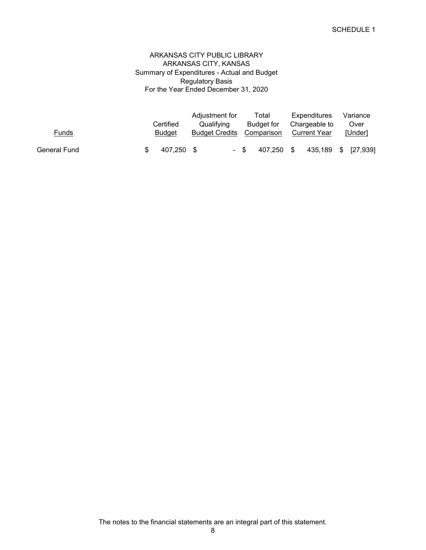## Summary of Expenditures - Actual and Budget Regulatory Basis ARKANSAS CITY PUBLIC LIBRARY For the Year Ended December 31, 2020 ARKANSAS CITY, KANSAS

|                     |               | Adjustment for        |      | Total             |      | <b>Expenditures</b> | Variance       |
|---------------------|---------------|-----------------------|------|-------------------|------|---------------------|----------------|
|                     | Certified     | Qualifying            |      | <b>Budget for</b> |      | Chargeable to       | Over           |
| <b>Funds</b>        | <b>Budget</b> | <b>Budget Credits</b> |      | Comparison        |      | Current Year        | <b>IUnderl</b> |
| <b>General Fund</b> | 407,250 \$    |                       | - \$ | 407.250           | - \$ | 435,189 \$ [27,939] |                |

The notes to the financial statements are an integral part of this statement.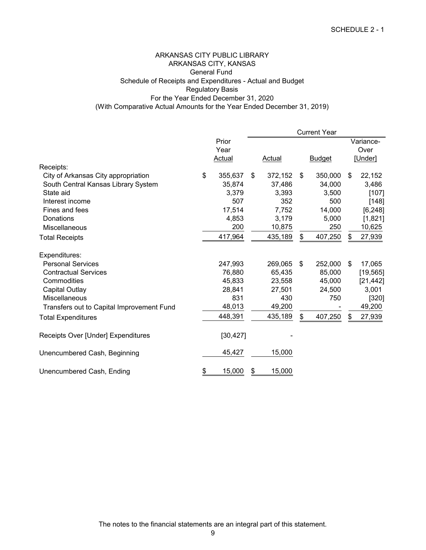## (With Comparative Actual Amounts for the Year Ended December 31, 2019) ARKANSAS CITY PUBLIC LIBRARY ARKANSAS CITY, KANSAS General Fund Schedule of Receipts and Expenditures - Actual and Budget For the Year Ended December 31, 2020 Regulatory Basis

|                                           |               |               | <b>Current Year</b> |                   |
|-------------------------------------------|---------------|---------------|---------------------|-------------------|
|                                           | Prior<br>Year |               |                     | Variance-<br>Over |
|                                           | Actual        | Actual        | <b>Budget</b>       | [Under]           |
| Receipts:                                 |               |               |                     |                   |
| City of Arkansas City appropriation       | \$<br>355,637 | \$<br>372,152 | \$<br>350,000       | \$<br>22,152      |
| South Central Kansas Library System       | 35,874        | 37,486        | 34,000              | 3,486             |
| State aid                                 | 3,379         | 3,393         | 3,500               | $[107]$           |
| Interest income                           | 507           | 352           | 500                 | [148]             |
| Fines and fees                            | 17,514        | 7,752         | 14,000              | [6, 248]          |
| Donations                                 | 4,853         | 3,179         | 5,000               | [1,821]           |
| Miscellaneous                             | 200           | 10,875        | 250                 | 10,625            |
| <b>Total Receipts</b>                     | 417,964       | 435,189       | \$<br>407,250       | \$<br>27,939      |
| Expenditures:                             |               |               |                     |                   |
| <b>Personal Services</b>                  | 247,993       | 269,065       | \$<br>252,000       | \$<br>17,065      |
| <b>Contractual Services</b>               | 76,880        | 65,435        | 85,000              | [19, 565]         |
| Commodities                               | 45,833        | 23,558        | 45,000              | [21, 442]         |
| <b>Capital Outlay</b>                     | 28,841        | 27,501        | 24,500              | 3,001             |
| <b>Miscellaneous</b>                      | 831           | 430           | 750                 | [320]             |
| Transfers out to Capital Improvement Fund | 48,013        | 49,200        |                     | 49,200            |
| <b>Total Expenditures</b>                 | 448,391       | 435,189       | \$<br>407,250       | \$<br>27,939      |
| Receipts Over [Under] Expenditures        | [30, 427]     |               |                     |                   |
| Unencumbered Cash, Beginning              | 45,427        | 15,000        |                     |                   |
| Unencumbered Cash, Ending                 | \$<br>15,000  | \$<br>15,000  |                     |                   |

The notes to the financial statements are an integral part of this statement.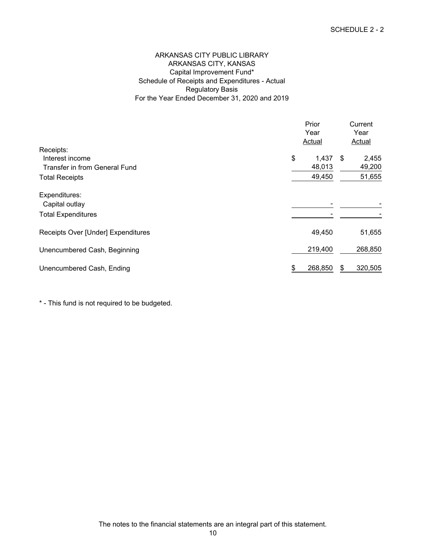## ARKANSAS CITY PUBLIC LIBRARY ARKANSAS CITY, KANSAS Capital Improvement Fund\* Schedule of Receipts and Expenditures - Actual Regulatory Basis For the Year Ended December 31, 2020 and 2019

|                                    | Prior<br>Year<br>Actual | Current<br>Year<br>Actual |
|------------------------------------|-------------------------|---------------------------|
| Receipts:                          |                         |                           |
| Interest income                    | \$<br>1,437             | \$<br>2,455               |
| Transfer in from General Fund      | 48,013                  | 49,200                    |
| <b>Total Receipts</b>              | 49,450                  | 51,655                    |
| Expenditures:                      |                         |                           |
| Capital outlay                     |                         |                           |
| <b>Total Expenditures</b>          |                         |                           |
| Receipts Over [Under] Expenditures | 49,450                  | 51,655                    |
| Unencumbered Cash, Beginning       | 219,400                 | 268,850                   |
| Unencumbered Cash, Ending          | 268,850                 | \$<br>320,505             |

\* - This fund is not required to be budgeted.

The notes to the financial statements are an integral part of this statement.